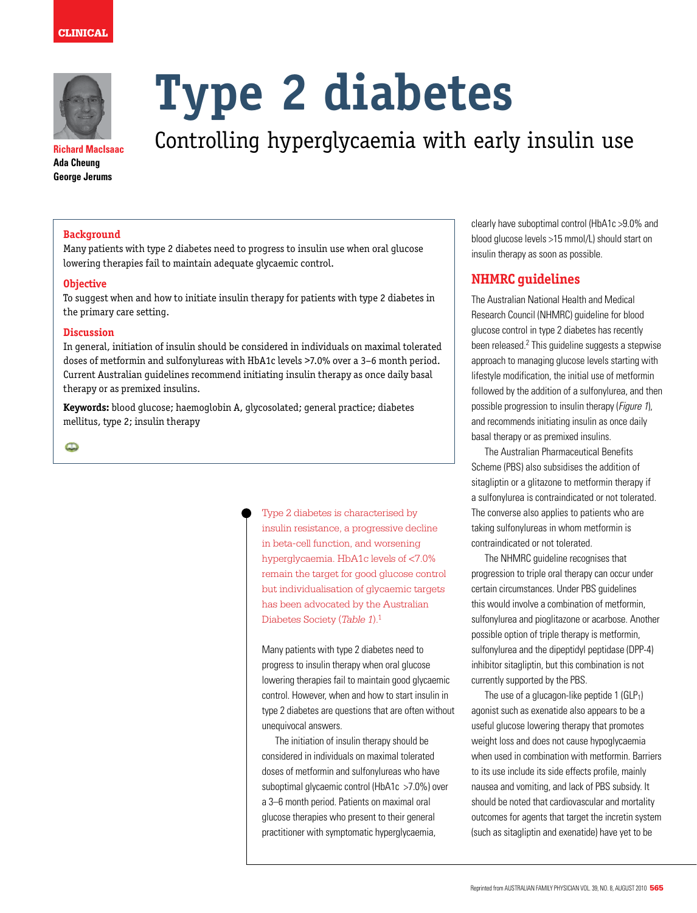



**Richard MacIsaac Ada Cheung George Jerums**

# **Type 2 diabetes**

Controlling hyperglycaemia with early insulin use

# **Background**

Many patients with type 2 diabetes need to progress to insulin use when oral glucose lowering therapies fail to maintain adequate glycaemic control.

### **Objective**

To suggest when and how to initiate insulin therapy for patients with type 2 diabetes in the primary care setting.

# **Discussion**

In general, initiation of insulin should be considered in individuals on maximal tolerated doses of metformin and sulfonylureas with HbA1c levels >7.0% over a 3–6 month period. Current Australian guidelines recommend initiating insulin therapy as once daily basal therapy or as premixed insulins.

**Keywords:** blood glucose; haemoglobin A, glycosolated; general practice; diabetes mellitus, type 2; insulin therapy

 $\mathbf{\Omega}$ 

Type 2 diabetes is characterised by insulin resistance, a progressive decline in beta-cell function, and worsening hyperglycaemia. HbA1c levels of <7.0% remain the target for good glucose control but individualisation of glycaemic targets has been advocated by the Australian Diabetes Society (*Table 1*).1

Many patients with type 2 diabetes need to progress to insulin therapy when oral glucose lowering therapies fail to maintain good glycaemic control. However, when and how to start insulin in type 2 diabetes are questions that are often without unequivocal answers.

The initiation of insulin therapy should be considered in individuals on maximal tolerated doses of metformin and sulfonylureas who have suboptimal glycaemic control (HbA1c >7.0%) over a 3–6 month period. Patients on maximal oral glucose therapies who present to their general practitioner with symptomatic hyperglycaemia,

clearly have suboptimal control (HbA1c >9.0% and blood glucose levels >15 mmol/L) should start on insulin therapy as soon as possible.

# **NHMRC guidelines**

The Australian National Health and Medical Research Council (NHMRC) guideline for blood glucose control in type 2 diabetes has recently been released.<sup>2</sup> This guideline suggests a stepwise approach to managing glucose levels starting with lifestyle modification, the initial use of metformin followed by the addition of a sulfonylurea, and then possible progression to insulin therapy (Figure 1), and recommends initiating insulin as once daily basal therapy or as premixed insulins.

The Australian Pharmaceutical Benefits Scheme (PBS) also subsidises the addition of sitagliptin or a glitazone to metformin therapy if a sulfonylurea is contraindicated or not tolerated. The converse also applies to patients who are taking sulfonylureas in whom metformin is contraindicated or not tolerated.

The NHMRC guideline recognises that progression to triple oral therapy can occur under certain circumstances. Under PBS guidelines this would involve a combination of metformin, sulfonylurea and pioglitazone or acarbose. Another possible option of triple therapy is metformin, sulfonylurea and the dipeptidyl peptidase (DPP-4) inhibitor sitagliptin, but this combination is not currently supported by the PBS.

The use of a glucagon-like peptide  $1$  (GLP<sub>1</sub>) agonist such as exenatide also appears to be a useful glucose lowering therapy that promotes weight loss and does not cause hypoglycaemia when used in combination with metformin. Barriers to its use include its side effects profile, mainly nausea and vomiting, and lack of PBS subsidy. It should be noted that cardiovascular and mortality outcomes for agents that target the incretin system (such as sitagliptin and exenatide) have yet to be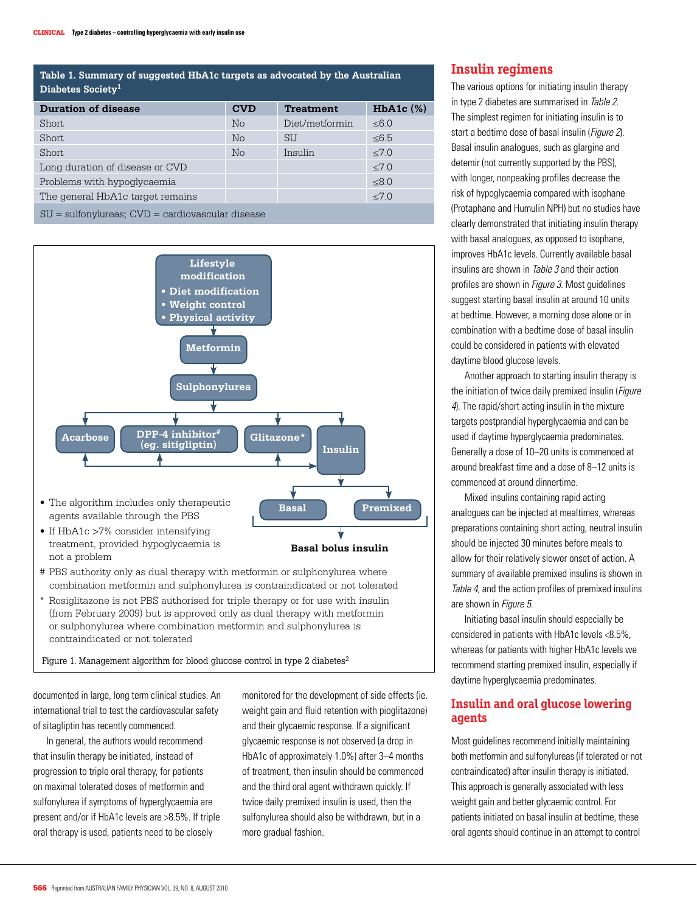# **Table 1. Summary of suggested HbA1c targets as advocated by the Australian Diabetes Society1**

| <b>Duration of disease</b>                           | <b>CVD</b> | <b>Treatment</b> | $HbA1c$ $(\%)$ |  |  |  |  |
|------------------------------------------------------|------------|------------------|----------------|--|--|--|--|
| Short                                                | No         | Diet/metformin   | $\leq 6.0$     |  |  |  |  |
| Short                                                | No         | <b>SU</b>        | ≤6.5           |  |  |  |  |
| Short                                                | No         | Insulin          | $\leq 7.0$     |  |  |  |  |
| Long duration of disease or CVD                      |            |                  | $\leq 7.0$     |  |  |  |  |
| Problems with hypoglycaemia                          |            |                  | $≤8.0$         |  |  |  |  |
| The general HbA1c target remains                     |            |                  | < 7.0          |  |  |  |  |
| $SU =$ sulfonylureas; $CVD =$ cardiovascular disease |            |                  |                |  |  |  |  |

**Lifestyle modification • Diet modification • Weight control • Physical activity Metformin Sulphonylurea Acarbose DPP-4 inhibitor<sup>#</sup> Glitazone**\* **OPP-4 inhibitor"**<br>
(eg. sitigliptin) **Insulin** • The algorithm includes only therapeutic **Basal Premixed** agents available through the PBS • If HbA1c >7% consider intensifying ₹ treatment, provided hypoglycaemia is **Basal bolus insulin** not a problem

- # PBS authority only as dual therapy with metformin or sulphonylurea where combination metformin and sulphonylurea is contraindicated or not tolerated
- \* Rosiglitazone is not PBS authorised for triple therapy or for use with insulin (from February 2009) but is approved only as dual therapy with metformin or sulphonylurea where combination metformin and sulphonylurea is contraindicated or not tolerated

Figure 1. Management algorithm for blood glucose control in type 2 diabetes<sup>2</sup>

documented in large, long term clinical studies. An international trial to test the cardiovascular safety of sitagliptin has recently commenced.

In general, the authors would recommend that insulin therapy be initiated, instead of progression to triple oral therapy, for patients on maximal tolerated doses of metformin and sulfonylurea if symptoms of hyperglycaemia are present and/or if HbA1c levels are >8.5%. If triple oral therapy is used, patients need to be closely

monitored for the development of side effects (ie. weight gain and fluid retention with pioglitazone) and their glycaemic response. If a significant glycaemic response is not observed (a drop in HbA1c of approximately 1.0%) after 3–4 months of treatment, then insulin should be commenced and the third oral agent withdrawn quickly. If twice daily premixed insulin is used, then the sulfonylurea should also be withdrawn, but in a more gradual fashion.

# **Insulin regimens**

The various options for initiating insulin therapy in type 2 diabetes are summarised in Table 2. The simplest regimen for initiating insulin is to start a bedtime dose of basal insulin (Figure 2). Basal insulin analogues, such as glargine and detemir (not currently supported by the PBS), with longer, nonpeaking profiles decrease the risk of hypoglycaemia compared with isophane (Protaphane and Humulin NPH) but no studies have clearly demonstrated that initiating insulin therapy with basal analogues, as opposed to isophane, improves HbA1c levels. Currently available basal insulins are shown in Table 3 and their action profiles are shown in Figure 3. Most guidelines suggest starting basal insulin at around 10 units at bedtime. However, a morning dose alone or in combination with a bedtime dose of basal insulin could be considered in patients with elevated daytime blood glucose levels.

Another approach to starting insulin therapy is the initiation of twice daily premixed insulin (Figure 4). The rapid/short acting insulin in the mixture targets postprandial hyperglycaemia and can be used if daytime hyperglycaemia predominates. Generally a dose of 10–20 units is commenced at around breakfast time and a dose of 8–12 units is commenced at around dinnertime.

Mixed insulins containing rapid acting analogues can be injected at mealtimes, whereas preparations containing short acting, neutral insulin should be injected 30 minutes before meals to allow for their relatively slower onset of action. A summary of available premixed insulins is shown in Table 4, and the action profiles of premixed insulins are shown in Figure 5.

Initiating basal insulin should especially be considered in patients with HbA1c levels <8.5%, whereas for patients with higher HbA1c levels we recommend starting premixed insulin, especially if daytime hyperglycaemia predominates.

# **Insulin and oral glucose lowering agents**

Most guidelines recommend initially maintaining both metformin and sulfonylureas (if tolerated or not contraindicated) after insulin therapy is initiated. This approach is generally associated with less weight gain and better glycaemic control. For patients initiated on basal insulin at bedtime, these oral agents should continue in an attempt to control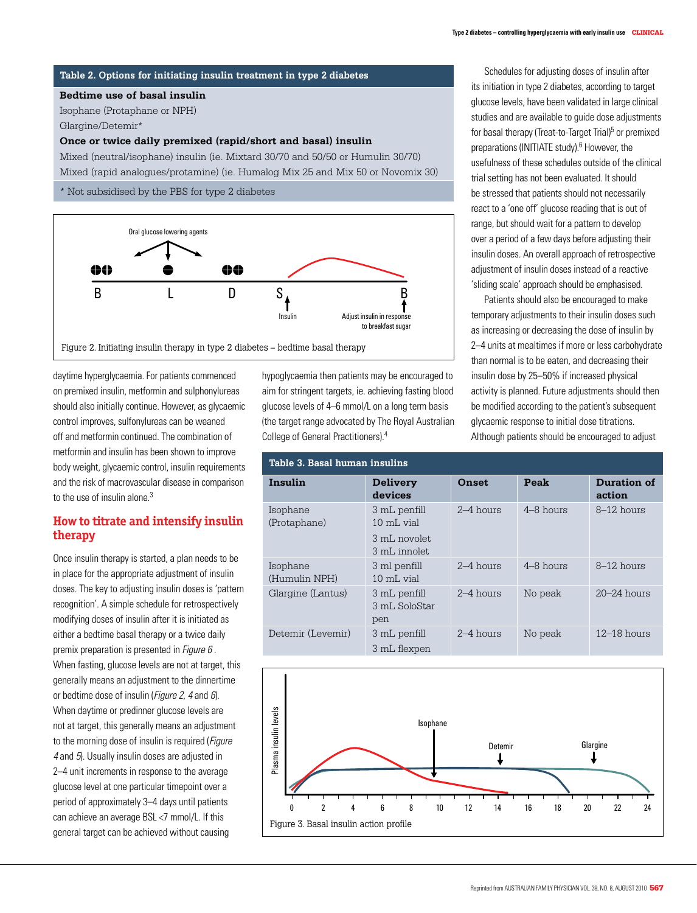### • The algorithm includes only therapeutic agents available through the PBS **Table 2. Options for initiating insulin treatment in type 2 diabetes**

# **Bedtime use of basal insuling treatment, provided hypoglycaemia is not a problem**

Isophane (Protaphane or NPH) \* Rosiglitazone is not authorised for triple therapy or for use with insulin (from February 2009) but is approved only as dual therapy with metformin or sulphonylurea where combination Glargine/Detemir\*

## Once or twice daily premixed (rapid/short and basal) insulin

Mixed (rapid analogues/protamine) (ie. Humalog Mix 25 and Mix 50 or Novomix 30) trial setting Mixed (neutral/isophane) insulin (ie. Mixtard 30/70 and 50/50 or Humulin 30/70)

\* Not subsidised by the PBS for type 2 diabetes



daytime hyperglycaemia. For patients commenced on premixed insulin, metformin and sulphonylureas should also initially continue. However, as glycaemic control improves, sulfonylureas can be weaned off and metformin continued. The combination of metformin and insulin has been shown to improve body weight, glycaemic control, insulin requirements and the risk of macrovascular disease in comparison to the use of insulin alone.<sup>3</sup> plas<br>Plasma<br>Plasma

# **How to titrate and intensify insulin** (Protaphane) 10 mL vial **therapy**

Once insulin therapy is started, a plan needs to be in place for the appropriate adjustment of insulin doses. The key to adjusting insulin doses is 'pattern recognition'. A simple schedule for retrospectively modifying doses of insulin after it is initiated as either a bedtime basal therapy or a twice daily premix preparation is presented in *Figure 6*. When fasting, glucose levels are not at target, this experiment the discussion of the discussion of the dinnertime of the dinnertime of the dinnertime of  $\Box$ or bedtime dose of insulin (*Figure 2, 4* and  $6$ ). When daytime or predinner glucose levels are not at target, this generally means an adjustment to the morning dose of insulin is required (Figure 4 and 5). Usually insulin doses are adjusted in 2–4 unit increments in response to the average glucose level at one particular timepoint over a period of approximately 3–4 days until patients can achieve an average BSL <7 mmol/L. If this Rapid analogue/protamine premixed Rapid analogue/protamine premixed Novomix 30 general target can be achieved without causing rt, triid goriord

hypoglycaemia then patients may be encouraged to aim for stringent targets, ie. achieving fasting blood glucose levels of 4–6 mmol/L on a long term basis (the target range advocated by The Royal Australian College of General Practitioners).4

| Table 3. Basal human insulins |                                                            |             |               |                       |  |  |  |
|-------------------------------|------------------------------------------------------------|-------------|---------------|-----------------------|--|--|--|
| Insulin                       | <b>Delivery</b><br>devices                                 | Onset       | Peak          | Duration of<br>action |  |  |  |
| Isophane<br>(Protaphane)      | 3 mL penfill<br>10 mL vial<br>3 mL novolet<br>3 mL innolet | $2-4$ hours | $4 - 8$ hours | 8-12 hours            |  |  |  |
| Isophane<br>(Humulin NPH)     | 3 ml penfill<br>$10 \text{ mL}$ vial                       | $2-4$ hours | $4 - 8$ hours | $8-12$ hours          |  |  |  |
| Glargine (Lantus)             | 3 mL penfill<br>3 mL SoloStar<br>pen                       | $2-4$ hours | No peak       | $20 - 24$ hours       |  |  |  |
| Detemir (Levemir)             | 3 mL penfill<br>3 mL flexpen                               | $2-4$ hours | No peak       | $12 - 18$ hours       |  |  |  |



Humulin 30/70

Schedules for adjusting doses of insulin after its initiation in type 2 diabetes, according to target glucose levels, have been validated in large clinical studies and are available to quide dose adjustments for basal therapy (Treat-to-Target Trial)<sup>5</sup> or premixed preparations (INITIATE study).<sup>6</sup> However, the usefulness of these schedules outside of the clinical trial setting has not been evaluated. It should be stressed that patients should not necessarily react to a 'one off' glucose reading that is out of range, but should wait for a pattern to develop over a period of a few days before adjusting their insulin doses. An overall approach of retrospective adjustment of insulin doses instead of a reactive 'sliding scale' approach should be emphasised.  $\mathbf{p}$  activity to  $\mathbf{p}$ 

**Patients should also be encouraged to make**  $\blacksquare$  **Patients should also be encouraged to make** Adjust insulin in response **that interval intervalsed transition** temporary adjustments to their insulin doses such as increasing or decreasing the dose of insulin by basal therapy **therapy** is not all the 2–4 units at mealtimes if more or less carbohydrate than normal is to be eaten, and decreasing their dual theorem is a mormal is to be eaten, and decreasing their insulin dose by 25–50% if increased physical activity is planned. Future adjustments should then be modified according to the patient's subsequent glycaemic response to initial dose titrations. Although patients should be encouraged to adjust method is contrained in an and subplometrize in the contracted or not to the contracted or not to  $\sim$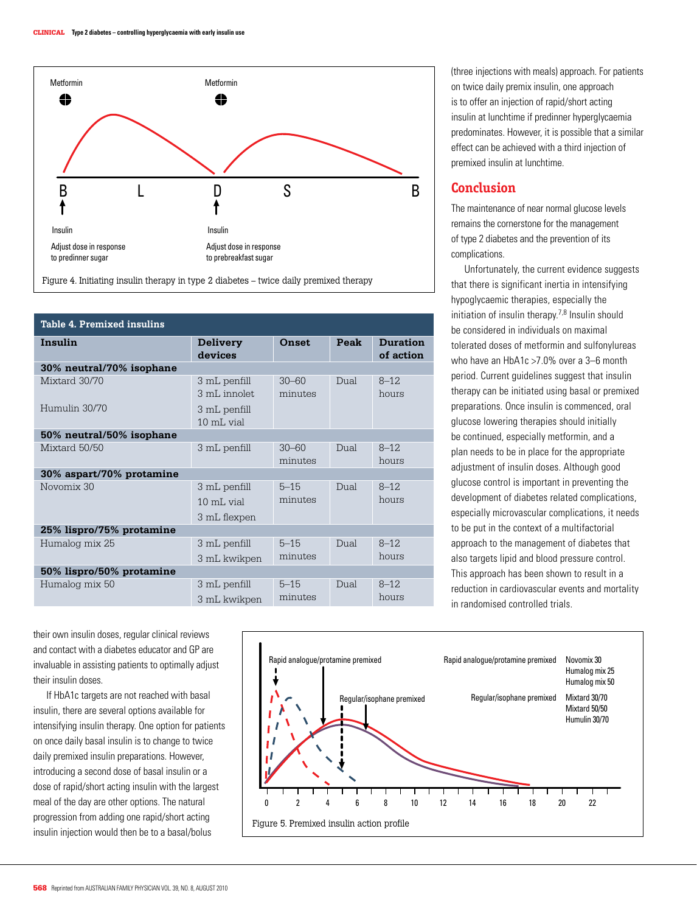

Figure 4. Initiating insulin therapy in type 2 diabetes – twice daily premixed therapy

| Table 4. Premixed insulins |                                                       |                      |      |                              |  |  |  |
|----------------------------|-------------------------------------------------------|----------------------|------|------------------------------|--|--|--|
| Insulin                    | <b>Delivery</b><br>devices                            | <b>Onset</b>         | Peak | <b>Duration</b><br>of action |  |  |  |
| 30% neutral/70% isophane   |                                                       |                      |      |                              |  |  |  |
| Mixtard 30/70              | 3 mL penfill<br>3 mL innolet.                         | $30 - 60$<br>minutes | Dual | $8 - 12$<br>hours            |  |  |  |
| Humulin 30/70              | 3 mL penfill<br>$10 \text{ m}$ . vial                 |                      |      |                              |  |  |  |
| 50% neutral/50% isophane   |                                                       |                      |      |                              |  |  |  |
| Mixtard 50/50              | 3 mL penfill                                          | $30 - 60$<br>minutes | Dual | $8 - 12$<br>hours            |  |  |  |
| 30% aspart/70% protamine   |                                                       |                      |      |                              |  |  |  |
| Novomix 30                 | 3 mL penfill<br>$10 \text{ m}$ . vial<br>3 mL flexpen | $5 - 15$<br>minutes  | Dual | $8 - 12$<br>hours            |  |  |  |
| 25% lispro/75% protamine   |                                                       |                      |      |                              |  |  |  |
| Humalog mix 25             | 3 mL penfill<br>3 mL kwikpen                          | $5 - 15$<br>minutes  | Dual | $8 - 12$<br>hours            |  |  |  |
| 50% lispro/50% protamine   |                                                       |                      |      |                              |  |  |  |
| Humalog mix 50             | 3 mL penfill<br>3 mL kwikpen                          | $5 - 15$<br>minutes  | Dual | $8 - 12$<br>hours            |  |  |  |

on twice daily premix insulin, one approach is to offer an injection of rapid/short acting insulin at lunchtime if predinner hyperglycaemia predominates. However, it is possible that a similar effect can be achieved with a third injection of premixed insulin at lunchtime. iu/short acting Insulin

# **Conclusion**

The maintenance of near normal glucose levels remains the cornerstone for the management of type 2 diabetes and the prevention of its complications.

Unfortunately, the current evidence suggests that there is significant inertia in intensifying hypoglycaemic therapies, especially the initiation of insulin therapy.7,8 Insulin should  $\overline{a}$  be considered in individuals on maximal  $\overline{a}$ tolerated doses of metformin and sulfonylureas who have an HbA1c >7.0% over a 3-6 month period. Current guidelines suggest that insulin therapy can be initiated using basal or premixed preparations. Once insulin is commenced, oral glucose lowering therapies should initially be continued, especially metformin, and a plan needs to be in place for the appropriate adjustment of insulin doses. Although good glucose control is important in preventing the development of diabetes related complications, minutes nours and the complication of the complications, it needs is a series of the complications, it needs is  $\epsilon$  beyond the complications, it needs  $\epsilon$  becomes the complications, it needs to be put in the context of a multifactorial approach to the management of diabetes that also targets lipid and blood pressure control. **This approach has been shown to result in a** reduction in cardiovascular events and mortality in randomised controlled trials.

their own insulin doses, regular clinical reviews and contact with a diabetes educator and GP are invaluable in assisting patients to optimally adjust their insulin doses.

If HbA1c targets are not reached with basal insulin, there are several options available for intensifying insulin therapy. One option for patients on once daily basal insulin is to change to twice daily premixed insulin preparations. However, introducing a second dose of basal insulin or a dose of rapid/short acting insulin with the largest meal of the day are other options. The natural progression from adding one rapid/short acting insulin injection would then be to a basal/bolus